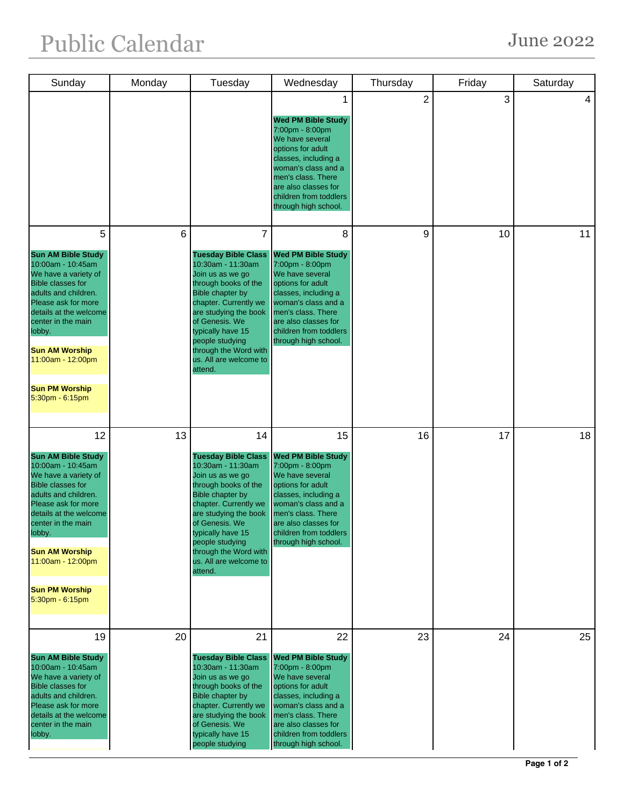| Sunday                                                                                                                                                                                                                                                                                                      | Monday | Tuesday                                                                                                                                                                                                                                                                                                | Wednesday                                                                                                                                                                                                                                 | Thursday       | Friday | Saturday |
|-------------------------------------------------------------------------------------------------------------------------------------------------------------------------------------------------------------------------------------------------------------------------------------------------------------|--------|--------------------------------------------------------------------------------------------------------------------------------------------------------------------------------------------------------------------------------------------------------------------------------------------------------|-------------------------------------------------------------------------------------------------------------------------------------------------------------------------------------------------------------------------------------------|----------------|--------|----------|
|                                                                                                                                                                                                                                                                                                             |        |                                                                                                                                                                                                                                                                                                        | <b>Wed PM Bible Study</b><br>7:00pm - 8:00pm<br>We have several<br>options for adult<br>classes, including a<br>woman's class and a<br>men's class. There<br>are also classes for<br>children from toddlers<br>through high school.       | $\overline{2}$ | 3      | 4        |
| 5<br><b>Sun AM Bible Study</b><br>10:00am - 10:45am<br>We have a variety of<br><b>Bible classes for</b><br>adults and children.<br>Please ask for more<br>details at the welcome<br>center in the main<br>lobby.<br><b>Sun AM Worship</b><br>11:00am - 12:00pm<br><b>Sun PM Worship</b><br>5:30pm - 6:15pm  | 6      | 7<br><b>Tuesday Bible Class</b><br>10:30am - 11:30am<br>Join us as we go<br>through books of the<br>Bible chapter by<br>chapter. Currently we<br>are studying the book<br>of Genesis. We<br>typically have 15<br>people studying<br>through the Word with<br>us. All are welcome to<br>attend.         | 8<br><b>Wed PM Bible Study</b><br>7:00pm - 8:00pm<br>We have several<br>options for adult<br>classes, including a<br>woman's class and a<br>men's class. There<br>are also classes for<br>children from toddlers<br>through high school.  | 9              | 10     | 11       |
| 12<br><b>Sun AM Bible Study</b><br>10:00am - 10:45am<br>We have a variety of<br><b>Bible classes for</b><br>adults and children.<br>Please ask for more<br>details at the welcome<br>center in the main<br>lobby.<br><b>Sun AM Worship</b><br>11:00am - 12:00pm<br><b>Sun PM Worship</b><br>5:30pm - 6:15pm | 13     | 14<br><b>Tuesday Bible Class</b><br>10:30am - 11:30am<br>Join us as we go<br>through books of the<br><b>Bible chapter by</b><br>chapter. Currently we<br>are studying the book<br>of Genesis. We<br>typically have 15<br>people studying<br>through the Word with<br>us. All are welcome to<br>attend. | 15<br><b>Wed PM Bible Study</b><br>7:00pm - 8:00pm<br>We have several<br>options for adult<br>classes, including a<br>woman's class and a<br>men's class. There<br>are also classes for<br>children from toddlers<br>through high school. | 16             | 17     | 18       |
| 19<br><b>Sun AM Bible Study</b><br>10:00am - 10:45am<br>We have a variety of<br><b>Bible classes for</b><br>adults and children.<br>Please ask for more<br>details at the welcome<br>center in the main<br>lobby.                                                                                           | 20     | 21<br><b>Tuesday Bible Class</b><br>10:30am - 11:30am<br>Join us as we go<br>through books of the<br><b>Bible chapter by</b><br>chapter. Currently we<br>are studying the book<br>of Genesis. We<br>typically have 15<br>people studying                                                               | 22<br><b>Wed PM Bible Study</b><br>7:00pm - 8:00pm<br>We have several<br>options for adult<br>classes, including a<br>woman's class and a<br>men's class. There<br>are also classes for<br>children from toddlers<br>through high school. | 23             | 24     | 25       |